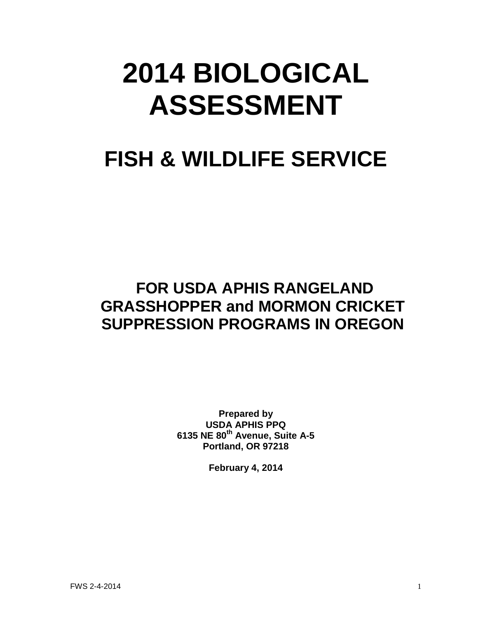# **2014 BIOLOGICAL ASSESSMENT**

## **FISH & WILDLIFE SERVICE**

### **FOR USDA APHIS RANGELAND GRASSHOPPER and MORMON CRICKET SUPPRESSION PROGRAMS IN OREGON**

**Prepared by USDA APHIS PPQ 6135 NE 80th Avenue, Suite A-5 Portland, OR 97218**

**February 4, 2014**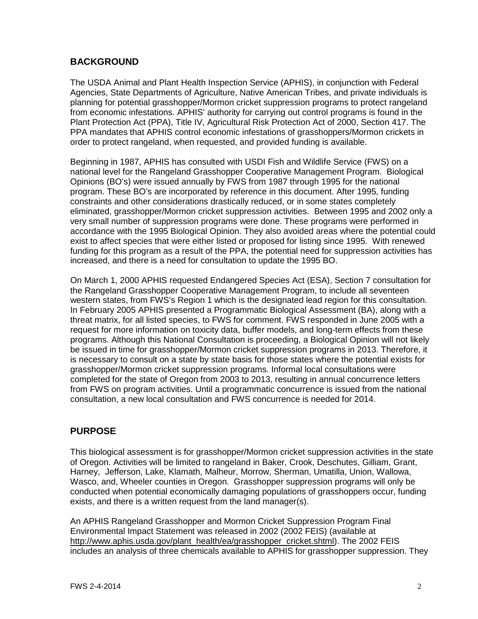#### **BACKGROUND**

The USDA Animal and Plant Health Inspection Service (APHIS), in conjunction with Federal Agencies, State Departments of Agriculture, Native American Tribes, and private individuals is planning for potential grasshopper/Mormon cricket suppression programs to protect rangeland from economic infestations. APHIS' authority for carrying out control programs is found in the Plant Protection Act (PPA), Title IV, Agricultural Risk Protection Act of 2000, Section 417. The PPA mandates that APHIS control economic infestations of grasshoppers/Mormon crickets in order to protect rangeland, when requested, and provided funding is available.

Beginning in 1987, APHIS has consulted with USDI Fish and Wildlife Service (FWS) on a national level for the Rangeland Grasshopper Cooperative Management Program. Biological Opinions (BO's) were issued annually by FWS from 1987 through 1995 for the national program. These BO's are incorporated by reference in this document. After 1995, funding constraints and other considerations drastically reduced, or in some states completely eliminated, grasshopper/Mormon cricket suppression activities. Between 1995 and 2002 only a very small number of suppression programs were done. These programs were performed in accordance with the 1995 Biological Opinion. They also avoided areas where the potential could exist to affect species that were either listed or proposed for listing since 1995. With renewed funding for this program as a result of the PPA, the potential need for suppression activities has increased, and there is a need for consultation to update the 1995 BO.

On March 1, 2000 APHIS requested Endangered Species Act (ESA), Section 7 consultation for the Rangeland Grasshopper Cooperative Management Program, to include all seventeen western states, from FWS's Region 1 which is the designated lead region for this consultation. In February 2005 APHIS presented a Programmatic Biological Assessment (BA), along with a threat matrix, for all listed species, to FWS for comment. FWS responded in June 2005 with a request for more information on toxicity data, buffer models, and long-term effects from these programs. Although this National Consultation is proceeding, a Biological Opinion will not likely be issued in time for grasshopper/Mormon cricket suppression programs in 2013. Therefore, it is necessary to consult on a state by state basis for those states where the potential exists for grasshopper/Mormon cricket suppression programs. Informal local consultations were completed for the state of Oregon from 2003 to 2013, resulting in annual concurrence letters from FWS on program activities. Until a programmatic concurrence is issued from the national consultation, a new local consultation and FWS concurrence is needed for 2014.

#### **PURPOSE**

This biological assessment is for grasshopper/Mormon cricket suppression activities in the state of Oregon. Activities will be limited to rangeland in Baker, Crook, Deschutes, Gilliam, Grant, Harney, Jefferson, Lake, Klamath, Malheur, Morrow, Sherman, Umatilla, Union, Wallowa, Wasco, and, Wheeler counties in Oregon. Grasshopper suppression programs will only be conducted when potential economically damaging populations of grasshoppers occur, funding exists, and there is a written request from the land manager(s).

An APHIS Rangeland Grasshopper and Mormon Cricket Suppression Program Final Environmental Impact Statement was released in 2002 (2002 FEIS) (available at [http://www.aphis.usda.gov/plant\\_health/ea/grasshopper\\_cricket.shtml\)](http://www.aphis.usda.gov/plant_health/ea/grasshopper_cricket.shtml). The 2002 FEIS includes an analysis of three chemicals available to APHIS for grasshopper suppression. They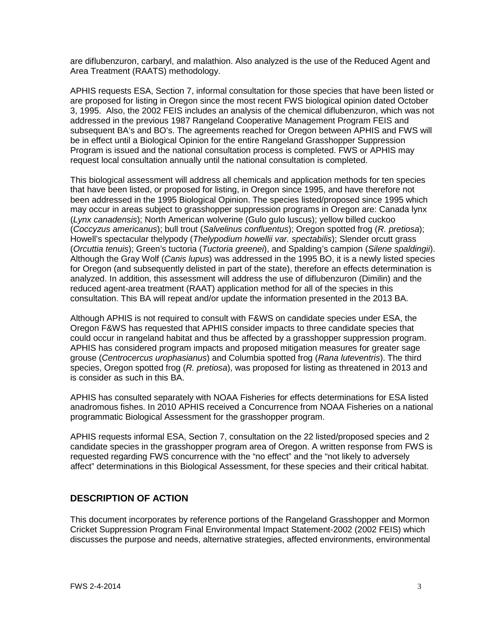are diflubenzuron, carbaryl, and malathion. Also analyzed is the use of the Reduced Agent and Area Treatment (RAATS) methodology.

APHIS requests ESA, Section 7, informal consultation for those species that have been listed or are proposed for listing in Oregon since the most recent FWS biological opinion dated October 3, 1995. Also, the 2002 FEIS includes an analysis of the chemical diflubenzuron, which was not addressed in the previous 1987 Rangeland Cooperative Management Program FEIS and subsequent BA's and BO's. The agreements reached for Oregon between APHIS and FWS will be in effect until a Biological Opinion for the entire Rangeland Grasshopper Suppression Program is issued and the national consultation process is completed. FWS or APHIS may request local consultation annually until the national consultation is completed.

This biological assessment will address all chemicals and application methods for ten species that have been listed, or proposed for listing, in Oregon since 1995, and have therefore not been addressed in the 1995 Biological Opinion. The species listed/proposed since 1995 which may occur in areas subject to grasshopper suppression programs in Oregon are: Canada lynx (*Lynx canadensis*); North American wolverine (Gulo gulo luscus); yellow billed cuckoo (*Coccyzus americanus*); bull trout (*Salvelinus confluentus*); Oregon spotted frog (*R. pretiosa*); Howell's spectacular thelypody (*Thelypodium howellii var. spectabilis*); Slender orcutt grass (*Orcuttia tenuis*); Green's tuctoria (*Tuctoria greenei*), and Spalding's campion (*Silene spaldingii*). Although the Gray Wolf (*Canis lupus*) was addressed in the 1995 BO, it is a newly listed species for Oregon (and subsequently delisted in part of the state), therefore an effects determination is analyzed. In addition, this assessment will address the use of diflubenzuron (Dimilin) and the reduced agent-area treatment (RAAT) application method for all of the species in this consultation. This BA will repeat and/or update the information presented in the 2013 BA.

Although APHIS is not required to consult with F&WS on candidate species under ESA, the Oregon F&WS has requested that APHIS consider impacts to three candidate species that could occur in rangeland habitat and thus be affected by a grasshopper suppression program. APHIS has considered program impacts and proposed mitigation measures for greater sage grouse (*Centrocercus urophasianus*) and Columbia spotted frog (*Rana luteventris*). The third species, Oregon spotted frog (*R. pretiosa*), was proposed for listing as threatened in 2013 and is consider as such in this BA.

APHIS has consulted separately with NOAA Fisheries for effects determinations for ESA listed anadromous fishes. In 2010 APHIS received a Concurrence from NOAA Fisheries on a national programmatic Biological Assessment for the grasshopper program.

APHIS requests informal ESA, Section 7, consultation on the 22 listed/proposed species and 2 candidate species in the grasshopper program area of Oregon. A written response from FWS is requested regarding FWS concurrence with the "no effect" and the "not likely to adversely affect" determinations in this Biological Assessment, for these species and their critical habitat.

#### **DESCRIPTION OF ACTION**

This document incorporates by reference portions of the Rangeland Grasshopper and Mormon Cricket Suppression Program Final Environmental Impact Statement-2002 (2002 FEIS) which discusses the purpose and needs, alternative strategies, affected environments, environmental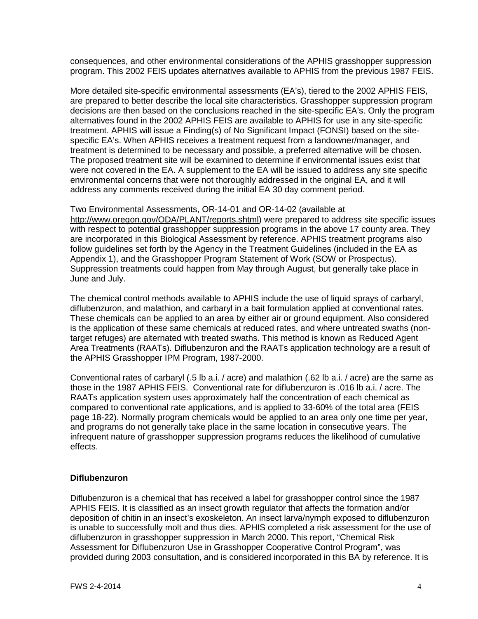consequences, and other environmental considerations of the APHIS grasshopper suppression program. This 2002 FEIS updates alternatives available to APHIS from the previous 1987 FEIS.

More detailed site-specific environmental assessments (EA's), tiered to the 2002 APHIS FEIS, are prepared to better describe the local site characteristics. Grasshopper suppression program decisions are then based on the conclusions reached in the site-specific EA's. Only the program alternatives found in the 2002 APHIS FEIS are available to APHIS for use in any site-specific treatment. APHIS will issue a Finding(s) of No Significant Impact (FONSI) based on the sitespecific EA's. When APHIS receives a treatment request from a landowner/manager, and treatment is determined to be necessary and possible, a preferred alternative will be chosen. The proposed treatment site will be examined to determine if environmental issues exist that were not covered in the EA. A supplement to the EA will be issued to address any site specific environmental concerns that were not thoroughly addressed in the original EA, and it will address any comments received during the initial EA 30 day comment period.

Two Environmental Assessments, OR-14-01 and OR-14-02 (available at [http://www.oregon.gov/ODA/PLANT/reports.shtml\)](http://www.oregon.gov/ODA/PLANT/reports.shtml) were prepared to address site specific issues with respect to potential grasshopper suppression programs in the above 17 county area. They are incorporated in this Biological Assessment by reference. APHIS treatment programs also follow guidelines set forth by the Agency in the Treatment Guidelines (included in the EA as Appendix 1), and the Grasshopper Program Statement of Work (SOW or Prospectus). Suppression treatments could happen from May through August, but generally take place in June and July.

The chemical control methods available to APHIS include the use of liquid sprays of carbaryl, diflubenzuron, and malathion, and carbaryl in a bait formulation applied at conventional rates. These chemicals can be applied to an area by either air or ground equipment. Also considered is the application of these same chemicals at reduced rates, and where untreated swaths (nontarget refuges) are alternated with treated swaths. This method is known as Reduced Agent Area Treatments (RAATs). Diflubenzuron and the RAATs application technology are a result of the APHIS Grasshopper IPM Program, 1987-2000.

Conventional rates of carbaryl (.5 lb a.i. / acre) and malathion (.62 lb a.i. / acre) are the same as those in the 1987 APHIS FEIS. Conventional rate for diflubenzuron is .016 lb a.i. / acre. The RAATs application system uses approximately half the concentration of each chemical as compared to conventional rate applications, and is applied to 33-60% of the total area (FEIS page 18-22). Normally program chemicals would be applied to an area only one time per year, and programs do not generally take place in the same location in consecutive years. The infrequent nature of grasshopper suppression programs reduces the likelihood of cumulative effects.

#### **Diflubenzuron**

Diflubenzuron is a chemical that has received a label for grasshopper control since the 1987 APHIS FEIS. It is classified as an insect growth regulator that affects the formation and/or deposition of chitin in an insect's exoskeleton. An insect larva/nymph exposed to diflubenzuron is unable to successfully molt and thus dies. APHIS completed a risk assessment for the use of diflubenzuron in grasshopper suppression in March 2000. This report, "Chemical Risk Assessment for Diflubenzuron Use in Grasshopper Cooperative Control Program", was provided during 2003 consultation, and is considered incorporated in this BA by reference. It is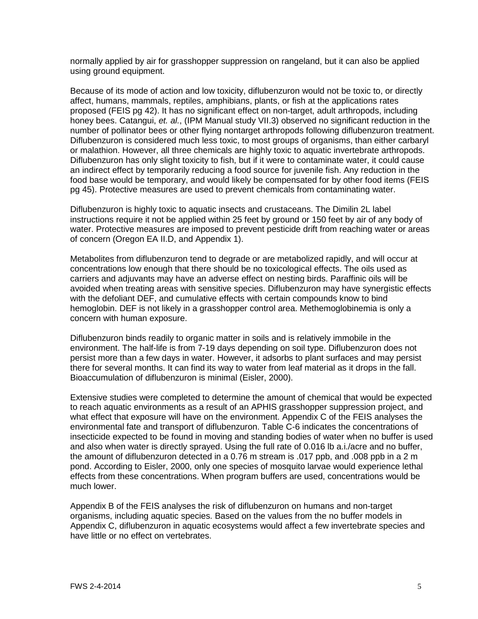normally applied by air for grasshopper suppression on rangeland, but it can also be applied using ground equipment.

Because of its mode of action and low toxicity, diflubenzuron would not be toxic to, or directly affect, humans, mammals, reptiles, amphibians, plants, or fish at the applications rates proposed (FEIS pg 42). It has no significant effect on non-target, adult arthropods, including honey bees. Catangui, *et. al.*, (IPM Manual study VII.3) observed no significant reduction in the number of pollinator bees or other flying nontarget arthropods following diflubenzuron treatment. Diflubenzuron is considered much less toxic, to most groups of organisms, than either carbaryl or malathion. However, all three chemicals are highly toxic to aquatic invertebrate arthropods. Diflubenzuron has only slight toxicity to fish, but if it were to contaminate water, it could cause an indirect effect by temporarily reducing a food source for juvenile fish. Any reduction in the food base would be temporary, and would likely be compensated for by other food items (FEIS pg 45). Protective measures are used to prevent chemicals from contaminating water.

Diflubenzuron is highly toxic to aquatic insects and crustaceans. The Dimilin 2L label instructions require it not be applied within 25 feet by ground or 150 feet by air of any body of water. Protective measures are imposed to prevent pesticide drift from reaching water or areas of concern (Oregon EA II.D, and Appendix 1).

Metabolites from diflubenzuron tend to degrade or are metabolized rapidly, and will occur at concentrations low enough that there should be no toxicological effects. The oils used as carriers and adjuvants may have an adverse effect on nesting birds. Paraffinic oils will be avoided when treating areas with sensitive species. Diflubenzuron may have synergistic effects with the defoliant DEF, and cumulative effects with certain compounds know to bind hemoglobin. DEF is not likely in a grasshopper control area. Methemoglobinemia is only a concern with human exposure.

Diflubenzuron binds readily to organic matter in soils and is relatively immobile in the environment. The half-life is from 7-19 days depending on soil type. Diflubenzuron does not persist more than a few days in water. However, it adsorbs to plant surfaces and may persist there for several months. It can find its way to water from leaf material as it drops in the fall. Bioaccumulation of diflubenzuron is minimal (Eisler, 2000).

Extensive studies were completed to determine the amount of chemical that would be expected to reach aquatic environments as a result of an APHIS grasshopper suppression project, and what effect that exposure will have on the environment. Appendix C of the FEIS analyses the environmental fate and transport of diflubenzuron. Table C-6 indicates the concentrations of insecticide expected to be found in moving and standing bodies of water when no buffer is used and also when water is directly sprayed. Using the full rate of 0.016 lb a.i./acre and no buffer, the amount of diflubenzuron detected in a 0.76 m stream is .017 ppb, and .008 ppb in a 2 m pond. According to Eisler, 2000, only one species of mosquito larvae would experience lethal effects from these concentrations. When program buffers are used, concentrations would be much lower.

Appendix B of the FEIS analyses the risk of diflubenzuron on humans and non-target organisms, including aquatic species. Based on the values from the no buffer models in Appendix C, diflubenzuron in aquatic ecosystems would affect a few invertebrate species and have little or no effect on vertebrates.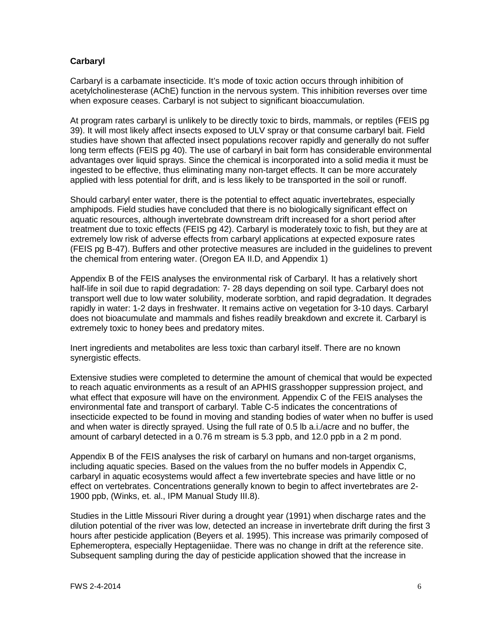#### **Carbaryl**

Carbaryl is a carbamate insecticide. It's mode of toxic action occurs through inhibition of acetylcholinesterase (AChE) function in the nervous system. This inhibition reverses over time when exposure ceases. Carbaryl is not subject to significant bioaccumulation.

At program rates carbaryl is unlikely to be directly toxic to birds, mammals, or reptiles (FEIS pg 39). It will most likely affect insects exposed to ULV spray or that consume carbaryl bait. Field studies have shown that affected insect populations recover rapidly and generally do not suffer long term effects (FEIS pg 40). The use of carbaryl in bait form has considerable environmental advantages over liquid sprays. Since the chemical is incorporated into a solid media it must be ingested to be effective, thus eliminating many non-target effects. It can be more accurately applied with less potential for drift, and is less likely to be transported in the soil or runoff.

Should carbaryl enter water, there is the potential to effect aquatic invertebrates, especially amphipods. Field studies have concluded that there is no biologically significant effect on aquatic resources, although invertebrate downstream drift increased for a short period after treatment due to toxic effects (FEIS pg 42). Carbaryl is moderately toxic to fish, but they are at extremely low risk of adverse effects from carbaryl applications at expected exposure rates (FEIS pg B-47). Buffers and other protective measures are included in the guidelines to prevent the chemical from entering water. (Oregon EA II.D, and Appendix 1)

Appendix B of the FEIS analyses the environmental risk of Carbaryl. It has a relatively short half-life in soil due to rapid degradation: 7- 28 days depending on soil type. Carbaryl does not transport well due to low water solubility, moderate sorbtion, and rapid degradation. It degrades rapidly in water: 1-2 days in freshwater. It remains active on vegetation for 3-10 days. Carbaryl does not bioacumulate and mammals and fishes readily breakdown and excrete it. Carbaryl is extremely toxic to honey bees and predatory mites.

Inert ingredients and metabolites are less toxic than carbaryl itself. There are no known synergistic effects.

Extensive studies were completed to determine the amount of chemical that would be expected to reach aquatic environments as a result of an APHIS grasshopper suppression project, and what effect that exposure will have on the environment. Appendix C of the FEIS analyses the environmental fate and transport of carbaryl. Table C-5 indicates the concentrations of insecticide expected to be found in moving and standing bodies of water when no buffer is used and when water is directly sprayed. Using the full rate of 0.5 lb a.i./acre and no buffer, the amount of carbaryl detected in a 0.76 m stream is 5.3 ppb, and 12.0 ppb in a 2 m pond.

Appendix B of the FEIS analyses the risk of carbaryl on humans and non-target organisms, including aquatic species. Based on the values from the no buffer models in Appendix C, carbaryl in aquatic ecosystems would affect a few invertebrate species and have little or no effect on vertebrates. Concentrations generally known to begin to affect invertebrates are 2- 1900 ppb, (Winks, et. al., IPM Manual Study III.8).

Studies in the Little Missouri River during a drought year (1991) when discharge rates and the dilution potential of the river was low, detected an increase in invertebrate drift during the first 3 hours after pesticide application (Beyers et al. 1995). This increase was primarily composed of Ephemeroptera, especially Heptageniidae. There was no change in drift at the reference site. Subsequent sampling during the day of pesticide application showed that the increase in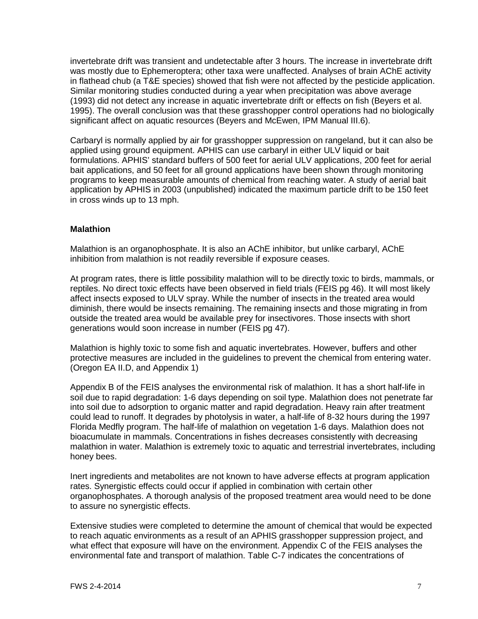invertebrate drift was transient and undetectable after 3 hours. The increase in invertebrate drift was mostly due to Ephemeroptera; other taxa were unaffected. Analyses of brain AChE activity in flathead chub (a T&E species) showed that fish were not affected by the pesticide application. Similar monitoring studies conducted during a year when precipitation was above average (1993) did not detect any increase in aquatic invertebrate drift or effects on fish (Beyers et al. 1995). The overall conclusion was that these grasshopper control operations had no biologically significant affect on aquatic resources (Beyers and McEwen, IPM Manual III.6).

Carbaryl is normally applied by air for grasshopper suppression on rangeland, but it can also be applied using ground equipment. APHIS can use carbaryl in either ULV liquid or bait formulations. APHIS' standard buffers of 500 feet for aerial ULV applications, 200 feet for aerial bait applications, and 50 feet for all ground applications have been shown through monitoring programs to keep measurable amounts of chemical from reaching water. A study of aerial bait application by APHIS in 2003 (unpublished) indicated the maximum particle drift to be 150 feet in cross winds up to 13 mph.

#### **Malathion**

Malathion is an organophosphate. It is also an AChE inhibitor, but unlike carbaryl, AChE inhibition from malathion is not readily reversible if exposure ceases.

At program rates, there is little possibility malathion will to be directly toxic to birds, mammals, or reptiles. No direct toxic effects have been observed in field trials (FEIS pg 46). It will most likely affect insects exposed to ULV spray. While the number of insects in the treated area would diminish, there would be insects remaining. The remaining insects and those migrating in from outside the treated area would be available prey for insectivores. Those insects with short generations would soon increase in number (FEIS pg 47).

Malathion is highly toxic to some fish and aquatic invertebrates. However, buffers and other protective measures are included in the guidelines to prevent the chemical from entering water. (Oregon EA II.D, and Appendix 1)

Appendix B of the FEIS analyses the environmental risk of malathion. It has a short half-life in soil due to rapid degradation: 1-6 days depending on soil type. Malathion does not penetrate far into soil due to adsorption to organic matter and rapid degradation. Heavy rain after treatment could lead to runoff. It degrades by photolysis in water, a half-life of 8-32 hours during the 1997 Florida Medfly program. The half-life of malathion on vegetation 1-6 days. Malathion does not bioacumulate in mammals. Concentrations in fishes decreases consistently with decreasing malathion in water. Malathion is extremely toxic to aquatic and terrestrial invertebrates, including honey bees.

Inert ingredients and metabolites are not known to have adverse effects at program application rates. Synergistic effects could occur if applied in combination with certain other organophosphates. A thorough analysis of the proposed treatment area would need to be done to assure no synergistic effects.

Extensive studies were completed to determine the amount of chemical that would be expected to reach aquatic environments as a result of an APHIS grasshopper suppression project, and what effect that exposure will have on the environment. Appendix C of the FEIS analyses the environmental fate and transport of malathion. Table C-7 indicates the concentrations of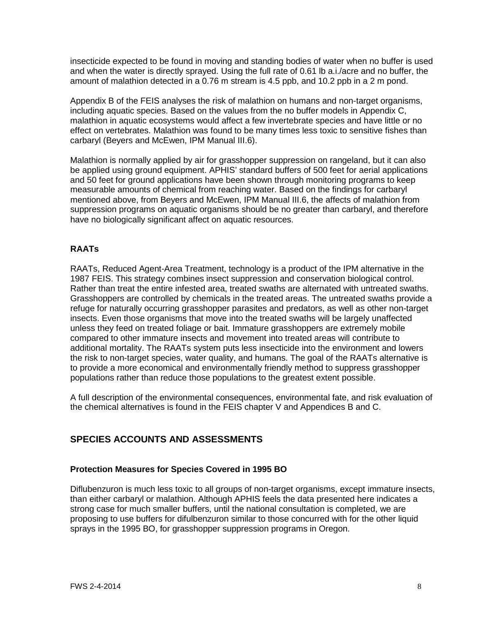insecticide expected to be found in moving and standing bodies of water when no buffer is used and when the water is directly sprayed. Using the full rate of 0.61 lb a.i./acre and no buffer, the amount of malathion detected in a 0.76 m stream is 4.5 ppb, and 10.2 ppb in a 2 m pond.

Appendix B of the FEIS analyses the risk of malathion on humans and non-target organisms, including aquatic species. Based on the values from the no buffer models in Appendix C, malathion in aquatic ecosystems would affect a few invertebrate species and have little or no effect on vertebrates. Malathion was found to be many times less toxic to sensitive fishes than carbaryl (Beyers and McEwen, IPM Manual III.6).

Malathion is normally applied by air for grasshopper suppression on rangeland, but it can also be applied using ground equipment. APHIS' standard buffers of 500 feet for aerial applications and 50 feet for ground applications have been shown through monitoring programs to keep measurable amounts of chemical from reaching water. Based on the findings for carbaryl mentioned above, from Beyers and McEwen, IPM Manual III.6, the affects of malathion from suppression programs on aquatic organisms should be no greater than carbaryl, and therefore have no biologically significant affect on aquatic resources.

#### **RAATs**

RAATs, Reduced Agent-Area Treatment, technology is a product of the IPM alternative in the 1987 FEIS. This strategy combines insect suppression and conservation biological control. Rather than treat the entire infested area, treated swaths are alternated with untreated swaths. Grasshoppers are controlled by chemicals in the treated areas. The untreated swaths provide a refuge for naturally occurring grasshopper parasites and predators, as well as other non-target insects. Even those organisms that move into the treated swaths will be largely unaffected unless they feed on treated foliage or bait. Immature grasshoppers are extremely mobile compared to other immature insects and movement into treated areas will contribute to additional mortality. The RAATs system puts less insecticide into the environment and lowers the risk to non-target species, water quality, and humans. The goal of the RAATs alternative is to provide a more economical and environmentally friendly method to suppress grasshopper populations rather than reduce those populations to the greatest extent possible.

A full description of the environmental consequences, environmental fate, and risk evaluation of the chemical alternatives is found in the FEIS chapter V and Appendices B and C.

#### **SPECIES ACCOUNTS AND ASSESSMENTS**

#### **Protection Measures for Species Covered in 1995 BO**

Diflubenzuron is much less toxic to all groups of non-target organisms, except immature insects, than either carbaryl or malathion. Although APHIS feels the data presented here indicates a strong case for much smaller buffers, until the national consultation is completed, we are proposing to use buffers for difulbenzuron similar to those concurred with for the other liquid sprays in the 1995 BO, for grasshopper suppression programs in Oregon.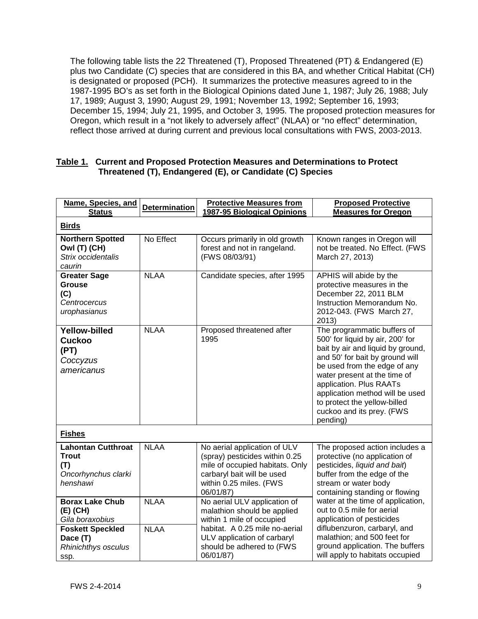The following table lists the 22 Threatened (T), Proposed Threatened (PT) & Endangered (E) plus two Candidate (C) species that are considered in this BA, and whether Critical Habitat (CH) is designated or proposed (PCH). It summarizes the protective measures agreed to in the 1987-1995 BO's as set forth in the Biological Opinions dated June 1, 1987; July 26, 1988; July 17, 1989; August 3, 1990; August 29, 1991; November 13, 1992; September 16, 1993; December 15, 1994; July 21, 1995, and October 3, 1995. The proposed protection measures for Oregon, which result in a "not likely to adversely affect" (NLAA) or "no effect" determination, reflect those arrived at during current and previous local consultations with FWS, 2003-2013.

#### **Table 1. Current and Proposed Protection Measures and Determinations to Protect Threatened (T), Endangered (E), or Candidate (C) Species**

| Name, Species, and<br><b>Status</b>                                                 | <b>Determination</b> | <b>Protective Measures from</b><br>1987-95 Biological Opinions                                                                                                          | <b>Proposed Protective</b><br><b>Measures for Oregon</b>                                                                                                                                                                                                                                                                                       |  |  |  |
|-------------------------------------------------------------------------------------|----------------------|-------------------------------------------------------------------------------------------------------------------------------------------------------------------------|------------------------------------------------------------------------------------------------------------------------------------------------------------------------------------------------------------------------------------------------------------------------------------------------------------------------------------------------|--|--|--|
| <b>Birds</b>                                                                        |                      |                                                                                                                                                                         |                                                                                                                                                                                                                                                                                                                                                |  |  |  |
| <b>Northern Spotted</b><br>Owl (T) (CH)<br>Strix occidentalis<br>caurin             | No Effect            | Occurs primarily in old growth<br>forest and not in rangeland.<br>(FWS 08/03/91)                                                                                        | Known ranges in Oregon will<br>not be treated. No Effect. (FWS<br>March 27, 2013)                                                                                                                                                                                                                                                              |  |  |  |
| <b>Greater Sage</b><br><b>Grouse</b><br>(C)<br>Centrocercus<br>urophasianus         | <b>NLAA</b>          | Candidate species, after 1995                                                                                                                                           | APHIS will abide by the<br>protective measures in the<br>December 22, 2011 BLM<br>Instruction Memorandum No.<br>2012-043. (FWS March 27,<br>2013)                                                                                                                                                                                              |  |  |  |
| <b>Yellow-billed</b><br><b>Cuckoo</b><br>(PT)<br>Coccyzus<br>americanus             | <b>NLAA</b>          | Proposed threatened after<br>1995                                                                                                                                       | The programmatic buffers of<br>500' for liquid by air, 200' for<br>bait by air and liquid by ground,<br>and 50' for bait by ground will<br>be used from the edge of any<br>water present at the time of<br>application. Plus RAATs<br>application method will be used<br>to protect the yellow-billed<br>cuckoo and its prey. (FWS<br>pending) |  |  |  |
| <b>Fishes</b>                                                                       |                      |                                                                                                                                                                         |                                                                                                                                                                                                                                                                                                                                                |  |  |  |
| <b>Lahontan Cutthroat</b><br><b>Trout</b><br>(T)<br>Oncorhynchus clarki<br>henshawi | <b>NLAA</b>          | No aerial application of ULV<br>(spray) pesticides within 0.25<br>mile of occupied habitats. Only<br>carbaryl bait will be used<br>within 0.25 miles. (FWS<br>06/01/87) | The proposed action includes a<br>protective (no application of<br>pesticides, liquid and bait)<br>buffer from the edge of the<br>stream or water body<br>containing standing or flowing                                                                                                                                                       |  |  |  |
| <b>Borax Lake Chub</b><br>(E) (CH)<br>Gila boraxobius                               | <b>NLAA</b>          | No aerial ULV application of<br>malathion should be applied<br>within 1 mile of occupied                                                                                | water at the time of application,<br>out to 0.5 mile for aerial<br>application of pesticides                                                                                                                                                                                                                                                   |  |  |  |
| <b>Foskett Speckled</b><br>Dace (T)<br>Rhinichthys osculus<br>ssp.                  | <b>NLAA</b>          | habitat. A 0.25 mile no-aerial<br>ULV application of carbaryl<br>should be adhered to (FWS<br>06/01/87)                                                                 | diflubenzuron, carbaryl, and<br>malathion; and 500 feet for<br>ground application. The buffers<br>will apply to habitats occupied                                                                                                                                                                                                              |  |  |  |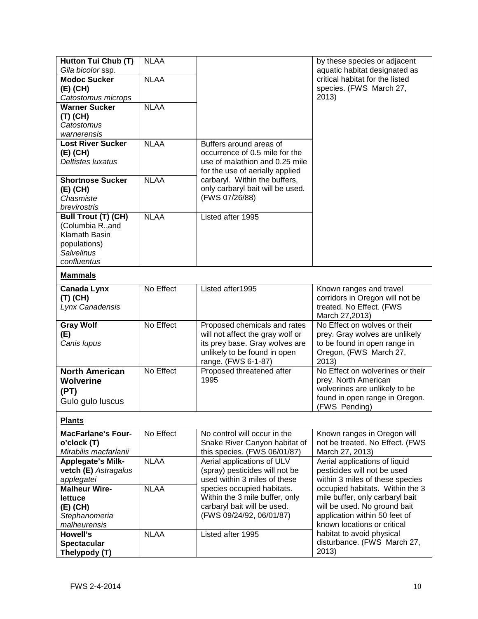| Hutton Tui Chub (T)                      | <b>NLAA</b> |                                                               | by these species or adjacent                                     |  |  |  |
|------------------------------------------|-------------|---------------------------------------------------------------|------------------------------------------------------------------|--|--|--|
| Gila bicolor ssp.<br><b>Modoc Sucker</b> | <b>NLAA</b> |                                                               | aquatic habitat designated as<br>critical habitat for the listed |  |  |  |
|                                          |             |                                                               | species. (FWS March 27,                                          |  |  |  |
| (E) (CH)<br>Catostomus microps           |             |                                                               | 2013)                                                            |  |  |  |
| <b>Warner Sucker</b>                     | <b>NLAA</b> |                                                               |                                                                  |  |  |  |
| (T) (CH)                                 |             |                                                               |                                                                  |  |  |  |
| Catostomus                               |             |                                                               |                                                                  |  |  |  |
| warnerensis                              |             |                                                               |                                                                  |  |  |  |
| <b>Lost River Sucker</b>                 | <b>NLAA</b> | Buffers around areas of                                       |                                                                  |  |  |  |
| (E) (CH)                                 |             | occurrence of 0.5 mile for the                                |                                                                  |  |  |  |
| <b>Deltistes luxatus</b>                 |             | use of malathion and 0.25 mile                                |                                                                  |  |  |  |
|                                          |             | for the use of aerially applied                               |                                                                  |  |  |  |
| <b>Shortnose Sucker</b>                  | <b>NLAA</b> | carbaryl. Within the buffers,                                 |                                                                  |  |  |  |
| (E) (CH)                                 |             | only carbaryl bait will be used.                              |                                                                  |  |  |  |
| Chasmiste                                |             | (FWS 07/26/88)                                                |                                                                  |  |  |  |
| brevirostris                             |             |                                                               |                                                                  |  |  |  |
| Bull Trout (T) (CH)                      | <b>NLAA</b> | Listed after 1995                                             |                                                                  |  |  |  |
| (Columbia R., and                        |             |                                                               |                                                                  |  |  |  |
| Klamath Basin                            |             |                                                               |                                                                  |  |  |  |
| populations)<br><b>Salvelinus</b>        |             |                                                               |                                                                  |  |  |  |
| confluentus                              |             |                                                               |                                                                  |  |  |  |
| <b>Mammals</b>                           |             |                                                               |                                                                  |  |  |  |
| <b>Canada Lynx</b>                       | No Effect   | Listed after1995                                              | Known ranges and travel                                          |  |  |  |
| (T) (CH)                                 |             |                                                               | corridors in Oregon will not be                                  |  |  |  |
| Lynx Canadensis                          |             |                                                               | treated. No Effect. (FWS                                         |  |  |  |
|                                          |             |                                                               | March 27,2013)                                                   |  |  |  |
| <b>Gray Wolf</b>                         | No Effect   | Proposed chemicals and rates                                  | No Effect on wolves or their                                     |  |  |  |
| (E)                                      |             | will not affect the gray wolf or                              | prey. Gray wolves are unlikely                                   |  |  |  |
| Canis lupus                              |             | its prey base. Gray wolves are                                | to be found in open range in                                     |  |  |  |
|                                          |             | unlikely to be found in open                                  | Oregon. (FWS March 27,                                           |  |  |  |
|                                          |             | range. (FWS 6-1-87)                                           | 2013)                                                            |  |  |  |
| <b>North American</b>                    | No Effect   | Proposed threatened after                                     | No Effect on wolverines or their                                 |  |  |  |
| <b>Wolverine</b>                         |             | 1995                                                          | prey. North American                                             |  |  |  |
| (PT)                                     |             |                                                               | wolverines are unlikely to be                                    |  |  |  |
| Gulo gulo luscus                         |             |                                                               | found in open range in Oregon.                                   |  |  |  |
|                                          |             |                                                               | (FWS Pending)                                                    |  |  |  |
| <b>Plants</b>                            |             |                                                               |                                                                  |  |  |  |
| <b>MacFarlane's Four-</b>                | No Effect   | No control will occur in the                                  | Known ranges in Oregon will                                      |  |  |  |
| o'clock (T)<br>Mirabilis macfarlanii     |             | Snake River Canyon habitat of<br>this species. (FWS 06/01/87) | not be treated. No Effect. (FWS<br>March 27, 2013)               |  |  |  |
| <b>Applegate's Milk-</b>                 | <b>NLAA</b> | Aerial applications of ULV                                    | Aerial applications of liquid                                    |  |  |  |
| vetch (E) Astragalus                     |             | (spray) pesticides will not be                                | pesticides will not be used                                      |  |  |  |
| applegatei                               |             | used within 3 miles of these                                  | within 3 miles of these species                                  |  |  |  |
| <b>Malheur Wire-</b>                     | <b>NLAA</b> | species occupied habitats.                                    | occupied habitats. Within the 3                                  |  |  |  |
| <b>lettuce</b>                           |             | Within the 3 mile buffer, only                                | mile buffer, only carbaryl bait                                  |  |  |  |
| (E) (CH)                                 |             | carbaryl bait will be used.                                   | will be used. No ground bait                                     |  |  |  |
| Stephanomeria                            |             | (FWS 09/24/92, 06/01/87)                                      | application within 50 feet of                                    |  |  |  |
| malheurensis                             |             |                                                               | known locations or critical                                      |  |  |  |
| <b>Howell's</b>                          | <b>NLAA</b> | Listed after 1995                                             | habitat to avoid physical                                        |  |  |  |
| <b>Spectacular</b>                       |             |                                                               | disturbance. (FWS March 27,                                      |  |  |  |
| Thelypody (T)                            |             |                                                               | 2013)                                                            |  |  |  |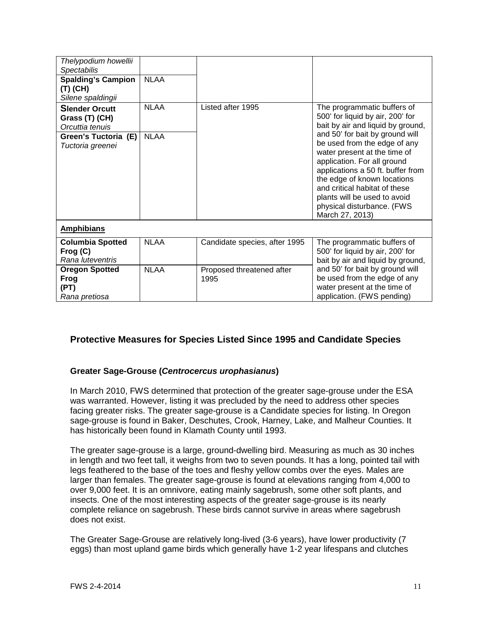| Thelypodium howellii<br><b>Spectabilis</b><br><b>Spalding's Campion</b><br>(T) (CH) | <b>NLAA</b> |                                   |                                                                                                                                                                                                                                                                                                                      |  |  |  |
|-------------------------------------------------------------------------------------|-------------|-----------------------------------|----------------------------------------------------------------------------------------------------------------------------------------------------------------------------------------------------------------------------------------------------------------------------------------------------------------------|--|--|--|
| Silene spaldingii                                                                   |             |                                   |                                                                                                                                                                                                                                                                                                                      |  |  |  |
| <b>Slender Orcutt</b><br>Grass (T) (CH)<br>Orcuttia tenuis                          | <b>NLAA</b> | Listed after 1995                 | The programmatic buffers of<br>500' for liquid by air, 200' for<br>bait by air and liquid by ground,                                                                                                                                                                                                                 |  |  |  |
| Green's Tuctoria (E)<br>Tuctoria greenei                                            | <b>NLAA</b> |                                   | and 50' for bait by ground will<br>be used from the edge of any<br>water present at the time of<br>application. For all ground<br>applications a 50 ft. buffer from<br>the edge of known locations<br>and critical habitat of these<br>plants will be used to avoid<br>physical disturbance. (FWS<br>March 27, 2013) |  |  |  |
| <b>Amphibians</b>                                                                   |             |                                   |                                                                                                                                                                                                                                                                                                                      |  |  |  |
| <b>Columbia Spotted</b><br>Frog (C)<br>Rana luteventris                             | <b>NLAA</b> | Candidate species, after 1995     | The programmatic buffers of<br>500' for liquid by air, 200' for<br>bait by air and liquid by ground,                                                                                                                                                                                                                 |  |  |  |
| <b>Oregon Spotted</b><br>Frog<br>(PT)<br>Rana pretiosa                              | <b>NLAA</b> | Proposed threatened after<br>1995 | and 50' for bait by ground will<br>be used from the edge of any<br>water present at the time of<br>application. (FWS pending)                                                                                                                                                                                        |  |  |  |

#### **Protective Measures for Species Listed Since 1995 and Candidate Species**

#### **Greater Sage-Grouse (***Centrocercus urophasianus***)**

In March 2010, FWS determined that protection of the greater sage-grouse under the ESA was warranted. However, listing it was precluded by the need to address other species facing greater risks. The greater sage-grouse is a Candidate species for listing. In Oregon sage-grouse is found in Baker, Deschutes, Crook, Harney, Lake, and Malheur Counties. It has historically been found in Klamath County until 1993.

The greater sage-grouse is a large, ground-dwelling bird. Measuring as much as 30 inches in length and two feet tall, it weighs from two to seven pounds. It has a long, pointed tail with legs feathered to the base of the toes and fleshy yellow combs over the eyes. Males are larger than females. The greater sage-grouse is found at elevations ranging from 4,000 to over 9,000 feet. It is an omnivore, eating mainly sagebrush, some other soft plants, and insects. One of the most interesting aspects of the greater sage-grouse is its nearly complete reliance on sagebrush. These birds cannot survive in areas where sagebrush does not exist.

The Greater Sage-Grouse are relatively long-lived (3-6 years), have lower productivity (7 eggs) than most upland game birds which generally have 1-2 year lifespans and clutches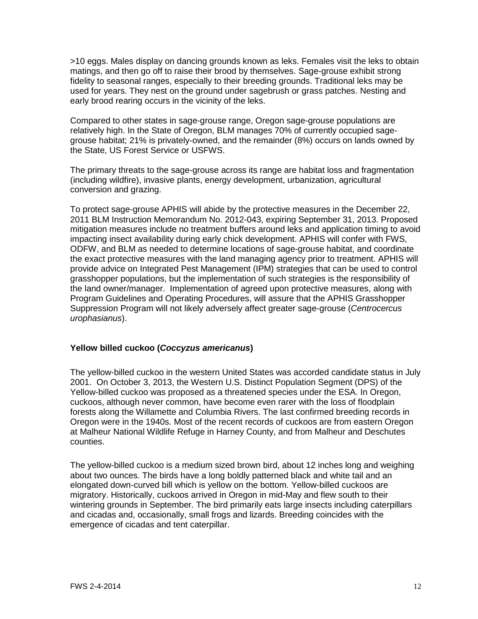>10 eggs. Males display on dancing grounds known as leks. Females visit the leks to obtain matings, and then go off to raise their brood by themselves. Sage-grouse exhibit strong fidelity to seasonal ranges, especially to their breeding grounds. Traditional leks may be used for years. They nest on the ground under sagebrush or grass patches. Nesting and early brood rearing occurs in the vicinity of the leks.

Compared to other states in sage-grouse range, Oregon sage-grouse populations are relatively high. In the State of Oregon, BLM manages 70% of currently occupied sagegrouse habitat; 21% is privately-owned, and the remainder (8%) occurs on lands owned by the State, US Forest Service or USFWS.

The primary threats to the sage-grouse across its range are habitat loss and fragmentation (including wildfire), invasive plants, energy development, urbanization, agricultural conversion and grazing.

To protect sage-grouse APHIS will abide by the protective measures in the December 22, 2011 BLM Instruction Memorandum No. 2012-043, expiring September 31, 2013. Proposed mitigation measures include no treatment buffers around leks and application timing to avoid impacting insect availability during early chick development. APHIS will confer with FWS, ODFW, and BLM as needed to determine locations of sage-grouse habitat, and coordinate the exact protective measures with the land managing agency prior to treatment. APHIS will provide advice on Integrated Pest Management (IPM) strategies that can be used to control grasshopper populations, but the implementation of such strategies is the responsibility of the land owner/manager. Implementation of agreed upon protective measures, along with Program Guidelines and Operating Procedures, will assure that the APHIS Grasshopper Suppression Program will not likely adversely affect greater sage-grouse (*Centrocercus urophasianus*).

#### **Yellow billed cuckoo (***Coccyzus americanus***)**

The yellow-billed cuckoo in the western United States was accorded candidate status in July 2001. On October 3, 2013, the Western U.S. Distinct Population Segment (DPS) of the Yellow-billed cuckoo was proposed as a threatened species under the ESA. In Oregon, cuckoos, although never common, have become even rarer with the loss of floodplain forests along the Willamette and Columbia Rivers. The last confirmed breeding records in Oregon were in the 1940s. Most of the recent records of cuckoos are from eastern Oregon at Malheur National Wildlife Refuge in Harney County, and from Malheur and Deschutes counties.

The yellow-billed cuckoo is a medium sized brown bird, about 12 inches long and weighing about two ounces. The birds have a long boldly patterned black and white tail and an elongated down-curved bill which is yellow on the bottom. Yellow-billed cuckoos are migratory. Historically, cuckoos arrived in Oregon in mid-May and flew south to their wintering grounds in September. The bird primarily eats large insects including caterpillars and cicadas and, occasionally, small frogs and lizards. Breeding coincides with the emergence of cicadas and tent caterpillar.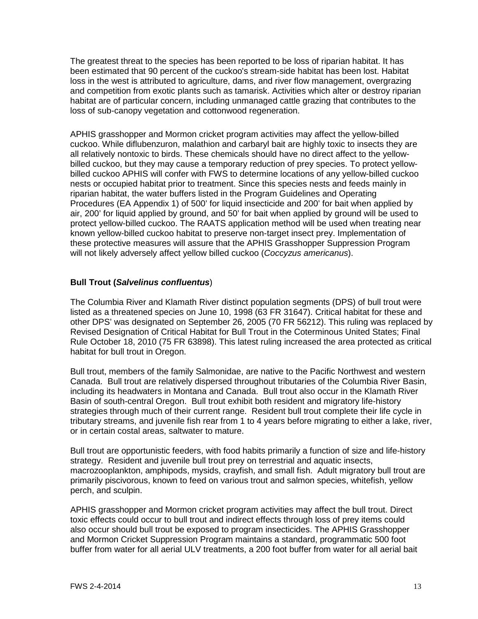The greatest threat to the species has been reported to be loss of riparian habitat. It has been estimated that 90 percent of the cuckoo's stream-side habitat has been lost. Habitat loss in the west is attributed to agriculture, dams, and river flow management, overgrazing and competition from exotic plants such as tamarisk. Activities which alter or destroy riparian habitat are of particular concern, including unmanaged cattle grazing that contributes to the loss of sub-canopy vegetation and cottonwood regeneration.

APHIS grasshopper and Mormon cricket program activities may affect the yellow-billed cuckoo. While diflubenzuron, malathion and carbaryl bait are highly toxic to insects they are all relatively nontoxic to birds. These chemicals should have no direct affect to the yellowbilled cuckoo, but they may cause a temporary reduction of prey species. To protect yellowbilled cuckoo APHIS will confer with FWS to determine locations of any yellow-billed cuckoo nests or occupied habitat prior to treatment. Since this species nests and feeds mainly in riparian habitat, the water buffers listed in the Program Guidelines and Operating Procedures (EA Appendix 1) of 500' for liquid insecticide and 200' for bait when applied by air, 200' for liquid applied by ground, and 50' for bait when applied by ground will be used to protect yellow-billed cuckoo. The RAATS application method will be used when treating near known yellow-billed cuckoo habitat to preserve non-target insect prey. Implementation of these protective measures will assure that the APHIS Grasshopper Suppression Program will not likely adversely affect yellow billed cuckoo (*Coccyzus americanus*).

#### **Bull Trout (***Salvelinus confluentus*)

The Columbia River and Klamath River distinct population segments (DPS) of bull trout were listed as a threatened species on June 10, 1998 (63 FR 31647). Critical habitat for these and other DPS' was designated on September 26, 2005 (70 FR 56212). This ruling was replaced by [Revised Designation of Critical Habitat for Bull Trout in the Coterminous United States; Final](http://www.gpo.gov/fdsys/search/citation.result.FR.action?federalRegister.volume=2010&federalRegister.page=63898&publication=FR)  [Rule O](http://www.gpo.gov/fdsys/search/citation.result.FR.action?federalRegister.volume=2010&federalRegister.page=63898&publication=FR)ctober 18, 2010 (75 FR 63898). This latest ruling increased the area protected as critical habitat for bull trout in Oregon.

Bull trout, members of the family Salmonidae, are native to the Pacific Northwest and western Canada. Bull trout are relatively dispersed throughout tributaries of the Columbia River Basin, including its headwaters in Montana and Canada. Bull trout also occur in the Klamath River Basin of south-central Oregon. Bull trout exhibit both resident and migratory life-history strategies through much of their current range. Resident bull trout complete their life cycle in tributary streams, and juvenile fish rear from 1 to 4 years before migrating to either a lake, river, or in certain costal areas, saltwater to mature.

Bull trout are opportunistic feeders, with food habits primarily a function of size and life-history strategy. Resident and juvenile bull trout prey on terrestrial and aquatic insects, macrozooplankton, amphipods, mysids, crayfish, and small fish. Adult migratory bull trout are primarily piscivorous, known to feed on various trout and salmon species, whitefish, yellow perch, and sculpin.

APHIS grasshopper and Mormon cricket program activities may affect the bull trout. Direct toxic effects could occur to bull trout and indirect effects through loss of prey items could also occur should bull trout be exposed to program insecticides. The APHIS Grasshopper and Mormon Cricket Suppression Program maintains a standard, programmatic 500 foot buffer from water for all aerial ULV treatments, a 200 foot buffer from water for all aerial bait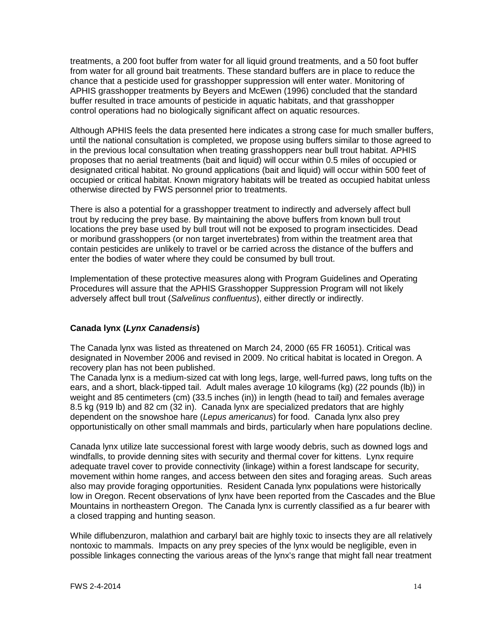treatments, a 200 foot buffer from water for all liquid ground treatments, and a 50 foot buffer from water for all ground bait treatments. These standard buffers are in place to reduce the chance that a pesticide used for grasshopper suppression will enter water. Monitoring of APHIS grasshopper treatments by Beyers and McEwen (1996) concluded that the standard buffer resulted in trace amounts of pesticide in aquatic habitats, and that grasshopper control operations had no biologically significant affect on aquatic resources.

Although APHIS feels the data presented here indicates a strong case for much smaller buffers, until the national consultation is completed, we propose using buffers similar to those agreed to in the previous local consultation when treating grasshoppers near bull trout habitat. APHIS proposes that no aerial treatments (bait and liquid) will occur within 0.5 miles of occupied or designated critical habitat. No ground applications (bait and liquid) will occur within 500 feet of occupied or critical habitat. Known migratory habitats will be treated as occupied habitat unless otherwise directed by FWS personnel prior to treatments.

There is also a potential for a grasshopper treatment to indirectly and adversely affect bull trout by reducing the prey base. By maintaining the above buffers from known bull trout locations the prey base used by bull trout will not be exposed to program insecticides. Dead or moribund grasshoppers (or non target invertebrates) from within the treatment area that contain pesticides are unlikely to travel or be carried across the distance of the buffers and enter the bodies of water where they could be consumed by bull trout.

Implementation of these protective measures along with Program Guidelines and Operating Procedures will assure that the APHIS Grasshopper Suppression Program will not likely adversely affect bull trout (*Salvelinus confluentus*), either directly or indirectly.

#### **Canada lynx (***Lynx Canadensis***)**

The Canada lynx was listed as threatened on March 24, 2000 (65 FR 16051). Critical was designated in November 2006 and revised in 2009. No critical habitat is located in Oregon. A recovery plan has not been published.

The Canada lynx is a medium-sized cat with long legs, large, well-furred paws, long tufts on the ears, and a short, black-tipped tail. Adult males average 10 kilograms (kg) (22 pounds (lb)) in weight and 85 centimeters (cm) (33.5 inches (in)) in length (head to tail) and females average 8.5 kg (919 lb) and 82 cm (32 in). Canada lynx are specialized predators that are highly dependent on the snowshoe hare (*Lepus americanus*) for food. Canada lynx also prey opportunistically on other small mammals and birds, particularly when hare populations decline.

Canada lynx utilize late successional forest with large woody debris, such as downed logs and windfalls, to provide denning sites with security and thermal cover for kittens. Lynx require adequate travel cover to provide connectivity (linkage) within a forest landscape for security, movement within home ranges, and access between den sites and foraging areas. Such areas also may provide foraging opportunities. Resident Canada lynx populations were historically low in Oregon. Recent observations of lynx have been reported from the Cascades and the Blue Mountains in northeastern Oregon. The Canada lynx is currently classified as a fur bearer with a closed trapping and hunting season.

While diflubenzuron, malathion and carbaryl bait are highly toxic to insects they are all relatively nontoxic to mammals. Impacts on any prey species of the lynx would be negligible, even in possible linkages connecting the various areas of the lynx's range that might fall near treatment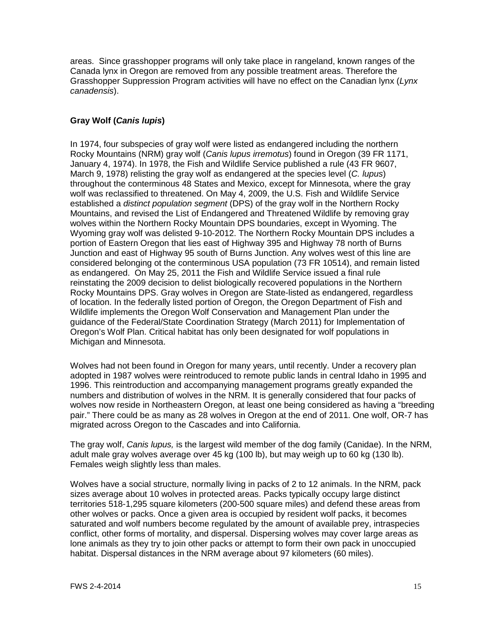areas. Since grasshopper programs will only take place in rangeland, known ranges of the Canada lynx in Oregon are removed from any possible treatment areas. Therefore the Grasshopper Suppression Program activities will have no effect on the Canadian lynx (*Lynx canadensis*).

#### **Gray Wolf (***Canis lupis***)**

In 1974, four subspecies of gray wolf were listed as endangered including the northern Rocky Mountains (NRM) gray wolf (*Canis lupus irremotus*) found in Oregon (39 FR 1171, January 4, 1974). In 1978, the Fish and Wildlife Service published a rule (43 FR 9607, March 9, 1978) relisting the gray wolf as endangered at the species level (*C. lupus*) throughout the conterminous 48 States and Mexico, except for Minnesota, where the gray wolf was reclassified to threatened. On May 4, 2009, the U.S. Fish and Wildlife Service established a *distinct population segment* (DPS) of the gray wolf in the Northern Rocky Mountains, and revised the List of Endangered and Threatened Wildlife by removing gray wolves within the Northern Rocky Mountain DPS boundaries, except in Wyoming. The Wyoming gray wolf was delisted 9-10-2012. The Northern Rocky Mountain DPS includes a portion of Eastern Oregon that lies east of Highway 395 and Highway 78 north of Burns Junction and east of Highway 95 south of Burns Junction. Any wolves west of this line are considered belonging ot the conterminous USA population (73 FR 10514), and remain listed as endangered. On May 25, 2011 the Fish and Wildlife Service issued a final rule reinstating the 2009 decision to delist biologically recovered populations in the Northern Rocky Mountains DPS. Gray wolves in Oregon are State-listed as endangered, regardless of location. In the federally listed portion of Oregon, the Oregon Department of Fish and Wildlife implements the Oregon Wolf Conservation and Management Plan under the guidance of the Federal/State Coordination Strategy (March 2011) for Implementation of Oregon's Wolf Plan. Critical habitat has only been designated for wolf populations in Michigan and Minnesota.

Wolves had not been found in Oregon for many years, until recently. Under a recovery plan adopted in 1987 wolves were reintroduced to remote public lands in central Idaho in 1995 and 1996. This reintroduction and accompanying management programs greatly expanded the numbers and distribution of wolves in the NRM. It is generally considered that four packs of wolves now reside in Northeastern Oregon, at least one being considered as having a "breeding pair." There could be as many as 28 wolves in Oregon at the end of 2011. One wolf, OR-7 has migrated across Oregon to the Cascades and into California.

The gray wolf, *Canis lupus,* is the largest wild member of the dog family (Canidae). In the NRM, adult male gray wolves average over 45 kg (100 lb), but may weigh up to 60 kg (130 lb). Females weigh slightly less than males.

Wolves have a social structure, normally living in packs of 2 to 12 animals. In the NRM, pack sizes average about 10 wolves in protected areas. Packs typically occupy large distinct territories 518-1,295 square kilometers (200-500 square miles) and defend these areas from other wolves or packs. Once a given area is occupied by resident wolf packs, it becomes saturated and wolf numbers become regulated by the amount of available prey, intraspecies conflict, other forms of mortality, and dispersal. Dispersing wolves may cover large areas as lone animals as they try to join other packs or attempt to form their own pack in unoccupied habitat. Dispersal distances in the NRM average about 97 kilometers (60 miles).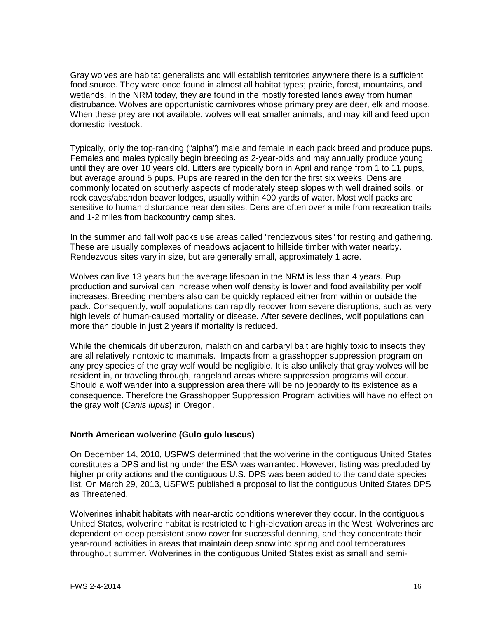Gray wolves are habitat generalists and will establish territories anywhere there is a sufficient food source. They were once found in almost all habitat types; prairie, forest, mountains, and wetlands. In the NRM today, they are found in the mostly forested lands away from human distrubance. Wolves are opportunistic carnivores whose primary prey are deer, elk and moose. When these prey are not available, wolves will eat smaller animals, and may kill and feed upon domestic livestock.

Typically, only the top-ranking ("alpha") male and female in each pack breed and produce pups. Females and males typically begin breeding as 2-year-olds and may annually produce young until they are over 10 years old. Litters are typically born in April and range from 1 to 11 pups, but average around 5 pups. Pups are reared in the den for the first six weeks. Dens are commonly located on southerly aspects of moderately steep slopes with well drained soils, or rock caves/abandon beaver lodges, usually within 400 yards of water. Most wolf packs are sensitive to human disturbance near den sites. Dens are often over a mile from recreation trails and 1-2 miles from backcountry camp sites.

In the summer and fall wolf packs use areas called "rendezvous sites" for resting and gathering. These are usually complexes of meadows adjacent to hillside timber with water nearby. Rendezvous sites vary in size, but are generally small, approximately 1 acre.

Wolves can live 13 years but the average lifespan in the NRM is less than 4 years. Pup production and survival can increase when wolf density is lower and food availability per wolf increases. Breeding members also can be quickly replaced either from within or outside the pack. Consequently, wolf populations can rapidly recover from severe disruptions, such as very high levels of human-caused mortality or disease. After severe declines, wolf populations can more than double in just 2 years if mortality is reduced.

While the chemicals diflubenzuron, malathion and carbaryl bait are highly toxic to insects they are all relatively nontoxic to mammals. Impacts from a grasshopper suppression program on any prey species of the gray wolf would be negligible. It is also unlikely that gray wolves will be resident in, or traveling through, rangeland areas where suppression programs will occur. Should a wolf wander into a suppression area there will be no jeopardy to its existence as a consequence. Therefore the Grasshopper Suppression Program activities will have no effect on the gray wolf (*Canis lupus*) in Oregon.

#### **North American wolverine (Gulo gulo luscus)**

On December 14, 2010, USFWS determined that the wolverine in the contiguous United States constitutes a DPS and listing under the ESA was warranted. However, listing was precluded by higher priority actions and the contiguous U.S. DPS was been added to the candidate species list. On March 29, 2013, USFWS published a proposal to list the contiguous United States DPS as Threatened.

Wolverines inhabit habitats with near-arctic conditions wherever they occur. In the contiguous United States, wolverine habitat is restricted to high-elevation areas in the West. Wolverines are dependent on deep persistent snow cover for successful denning, and they concentrate their year-round activities in areas that maintain deep snow into spring and cool temperatures throughout summer. Wolverines in the contiguous United States exist as small and semi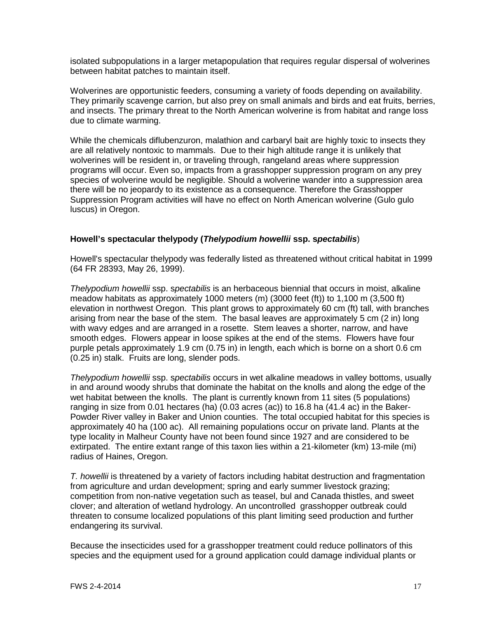isolated subpopulations in a larger metapopulation that requires regular dispersal of wolverines between habitat patches to maintain itself.

Wolverines are opportunistic feeders, consuming a variety of foods depending on availability. They primarily scavenge carrion, but also prey on small animals and birds and eat fruits, berries, and insects. The primary threat to the North American wolverine is from habitat and range loss due to climate warming.

While the chemicals diflubenzuron, malathion and carbaryl bait are highly toxic to insects they are all relatively nontoxic to mammals. Due to their high altitude range it is unlikely that wolverines will be resident in, or traveling through, rangeland areas where suppression programs will occur. Even so, impacts from a grasshopper suppression program on any prey species of wolverine would be negligible. Should a wolverine wander into a suppression area there will be no jeopardy to its existence as a consequence. Therefore the Grasshopper Suppression Program activities will have no effect on North American wolverine (Gulo gulo luscus) in Oregon.

#### **Howell's spectacular thelypody (***Thelypodium howellii* **ssp. s***pectabilis*)

Howell's spectacular thelypody was federally listed as threatened without critical habitat in 1999 (64 FR 28393, May 26, 1999).

*Thelypodium howellii* ssp. s*pectabilis* is an herbaceous biennial that occurs in moist, alkaline meadow habitats as approximately 1000 meters (m) (3000 feet (ft)) to 1,100 m (3,500 ft) elevation in northwest Oregon. This plant grows to approximately 60 cm (ft) tall, with branches arising from near the base of the stem. The basal leaves are approximately 5 cm (2 in) long with wavy edges and are arranged in a rosette. Stem leaves a shorter, narrow, and have smooth edges. Flowers appear in loose spikes at the end of the stems. Flowers have four purple petals approximately 1.9 cm (0.75 in) in length, each which is borne on a short 0.6 cm (0.25 in) stalk. Fruits are long, slender pods.

*Thelypodium howellii* ssp. s*pectabilis* occurs in wet alkaline meadows in valley bottoms, usually in and around woody shrubs that dominate the habitat on the knolls and along the edge of the wet habitat between the knolls. The plant is currently known from 11 sites (5 populations) ranging in size from 0.01 hectares (ha) (0.03 acres (ac)) to 16.8 ha (41.4 ac) in the Baker-Powder River valley in Baker and Union counties. The total occupied habitat for this species is approximately 40 ha (100 ac). All remaining populations occur on private land. Plants at the type locality in Malheur County have not been found since 1927 and are considered to be extirpated. The entire extant range of this taxon lies within a 21-kilometer (km) 13-mile (mi) radius of Haines, Oregon.

*T. howellii* is threatened by a variety of factors including habitat destruction and fragmentation from agriculture and urdan development; spring and early summer livestock grazing; competition from non-native vegetation such as teasel, bul and Canada thistles, and sweet clover; and alteration of wetland hydrology. An uncontrolled grasshopper outbreak could threaten to consume localized populations of this plant limiting seed production and further endangering its survival.

Because the insecticides used for a grasshopper treatment could reduce pollinators of this species and the equipment used for a ground application could damage individual plants or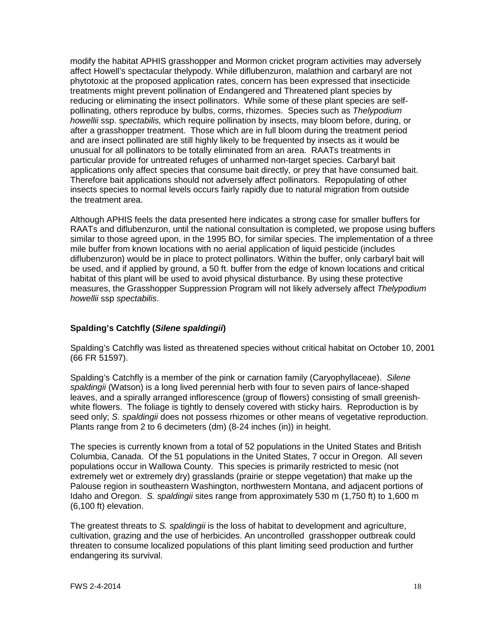modify the habitat APHIS grasshopper and Mormon cricket program activities may adversely affect Howell's spectacular thelypody. While diflubenzuron, malathion and carbaryl are not phytotoxic at the proposed application rates, concern has been expressed that insecticide treatments might prevent pollination of Endangered and Threatened plant species by reducing or eliminating the insect pollinators. While some of these plant species are selfpollinating, others reproduce by bulbs, corms, rhizomes. Species such as *Thelypodium howellii* ssp. s*pectabilis,* which require pollination by insects, may bloom before, during, or after a grasshopper treatment. Those which are in full bloom during the treatment period and are insect pollinated are still highly likely to be frequented by insects as it would be unusual for all pollinators to be totally eliminated from an area. RAATs treatments in particular provide for untreated refuges of unharmed non-target species. Carbaryl bait applications only affect species that consume bait directly, or prey that have consumed bait. Therefore bait applications should not adversely affect pollinators. Repopulating of other insects species to normal levels occurs fairly rapidly due to natural migration from outside the treatment area.

Although APHIS feels the data presented here indicates a strong case for smaller buffers for RAATs and diflubenzuron, until the national consultation is completed, we propose using buffers similar to those agreed upon, in the 1995 BO, for similar species. The implementation of a three mile buffer from known locations with no aerial application of liquid pesticide (includes diflubenzuron) would be in place to protect pollinators. Within the buffer, only carbaryl bait will be used, and if applied by ground, a 50 ft. buffer from the edge of known locations and critical habitat of this plant will be used to avoid physical disturbance. By using these protective measures, the Grasshopper Suppression Program will not likely adversely affect *Thelypodium howellii* ssp *spectabilis*.

#### **Spalding's Catchfly (***Silene spaldingii***)**

Spalding's Catchfly was listed as threatened species without critical habitat on October 10, 2001 (66 FR 51597).

Spalding's Catchfly is a member of the pink or carnation family (Caryophyllaceae). *Silene spaldingii* (Watson) is a long lived perennial herb with four to seven pairs of lance-shaped leaves, and a spirally arranged inflorescence (group of flowers) consisting of small greenishwhite flowers. The foliage is tightly to densely covered with sticky hairs. Reproduction is by seed only; *S. spaldingii* does not possess rhizomes or other means of vegetative reproduction. Plants range from 2 to 6 decimeters (dm) (8-24 inches (in)) in height.

The species is currently known from a total of 52 populations in the United States and British Columbia, Canada. Of the 51 populations in the United States, 7 occur in Oregon. All seven populations occur in Wallowa County. This species is primarily restricted to mesic (not extremely wet or extremely dry) grasslands (prairie or steppe vegetation) that make up the Palouse region in southeastern Washington, northwestern Montana, and adjacent portions of Idaho and Oregon. *S. spaldingii* sites range from approximately 530 m (1,750 ft) to 1,600 m (6,100 ft) elevation.

The greatest threats to *S. spaldingii* is the loss of habitat to development and agriculture, cultivation, grazing and the use of herbicides. An uncontrolled grasshopper outbreak could threaten to consume localized populations of this plant limiting seed production and further endangering its survival.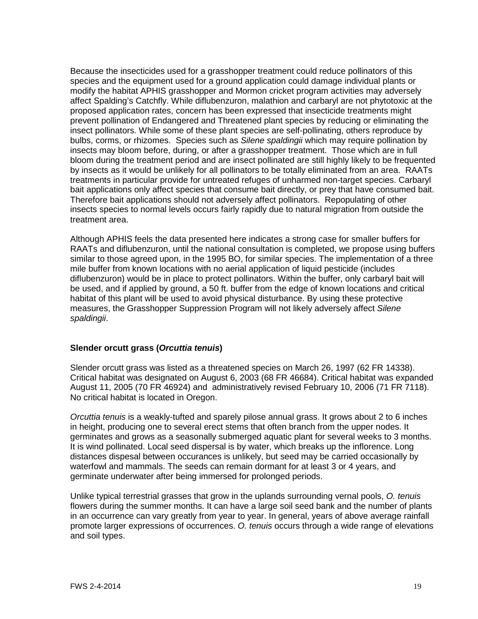Because the insecticides used for a grasshopper treatment could reduce pollinators of this species and the equipment used for a ground application could damage individual plants or modify the habitat APHIS grasshopper and Mormon cricket program activities may adversely affect Spalding's Catchfly. While diflubenzuron, malathion and carbaryl are not phytotoxic at the proposed application rates, concern has been expressed that insecticide treatments might prevent pollination of Endangered and Threatened plant species by reducing or eliminating the insect pollinators. While some of these plant species are self-pollinating, others reproduce by bulbs, corms, or rhizomes. Species such as *Silene spaldingii* which may require pollination by insects may bloom before, during, or after a grasshopper treatment. Those which are in full bloom during the treatment period and are insect pollinated are still highly likely to be frequented by insects as it would be unlikely for all pollinators to be totally eliminated from an area. RAATs treatments in particular provide for untreated refuges of unharmed non-target species. Carbaryl bait applications only affect species that consume bait directly, or prey that have consumed bait. Therefore bait applications should not adversely affect pollinators. Repopulating of other insects species to normal levels occurs fairly rapidly due to natural migration from outside the treatment area.

Although APHIS feels the data presented here indicates a strong case for smaller buffers for RAATs and diflubenzuron, until the national consultation is completed, we propose using buffers similar to those agreed upon, in the 1995 BO, for similar species. The implementation of a three mile buffer from known locations with no aerial application of liquid pesticide (includes diflubenzuron) would be in place to protect pollinators. Within the buffer, only carbaryl bait will be used, and if applied by ground, a 50 ft. buffer from the edge of known locations and critical habitat of this plant will be used to avoid physical disturbance. By using these protective measures, the Grasshopper Suppression Program will not likely adversely affect *Silene spaldingii*.

#### **Slender orcutt grass (***Orcuttia tenuis***)**

Slender orcutt grass was listed as a threatened species on March 26, 1997 (62 FR 14338). Critical habitat was designated on August 6, 2003 (68 FR 46684). Critical habitat was expanded August 11, 2005 (70 FR 46924) and administratively revised February 10, 2006 (71 FR 7118). No critical habitat is located in Oregon.

*Orcuttia tenuis* is a weakly-tufted and sparely pilose annual grass. It grows about 2 to 6 inches in height, producing one to several erect stems that often branch from the upper nodes. It germinates and grows as a seasonally submerged aquatic plant for several weeks to 3 months. It is wind pollinated. Local seed dispersal is by water, which breaks up the inflorence. Long distances dispesal between occurances is unlikely, but seed may be carried occasionally by waterfowl and mammals. The seeds can remain dormant for at least 3 or 4 years, and germinate underwater after being immersed for prolonged periods.

Unlike typical terrestrial grasses that grow in the uplands surrounding vernal pools, *O. tenuis*  flowers during the summer months. It can have a large soil seed bank and the number of plants in an occurrence can vary greatly from year to year. In general, years of above average rainfall promote larger expressions of occurrences. *O. tenuis* occurs through a wide range of elevations and soil types.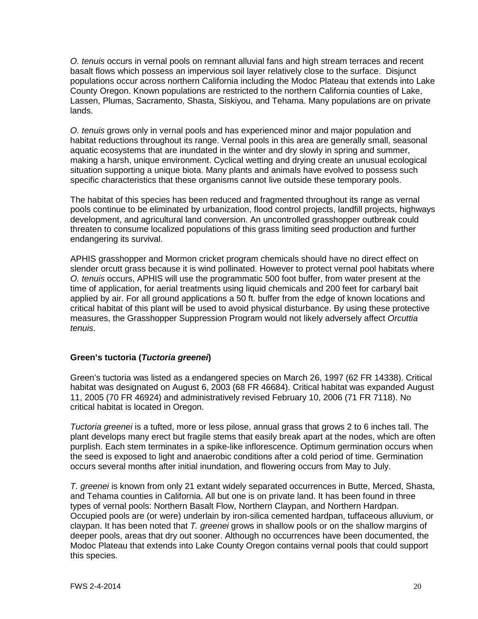*O. tenuis* occurs in vernal pools on remnant alluvial fans and high stream terraces and recent basalt flows which possess an impervious soil layer relatively close to the surface. Disjunct populations occur across northern California including the Modoc Plateau that extends into Lake County Oregon. Known populations are restricted to the northern California counties of Lake, Lassen, Plumas, Sacramento, Shasta, Siskiyou, and Tehama. Many populations are on private lands.

*O. tenuis* grows only in vernal pools and has experienced minor and major population and habitat reductions throughout its range. Vernal pools in this area are generally small, seasonal aquatic ecosystems that are inundated in the winter and dry slowly in spring and summer, making a harsh, unique environment. Cyclical wetting and drying create an unusual ecological situation supporting a unique biota. Many plants and animals have evolved to possess such specific characteristics that these organisms cannot live outside these temporary pools.

The habitat of this species has been reduced and fragmented throughout its range as vernal pools continue to be eliminated by urbanization, flood control projects, landfill projects, highways development, and agricultural land conversion. An uncontrolled grasshopper outbreak could threaten to consume localized populations of this grass limiting seed production and further endangering its survival.

APHIS grasshopper and Mormon cricket program chemicals should have no direct effect on slender orcutt grass because it is wind pollinated. However to protect vernal pool habitats where *O. tenuis* occurs, APHIS will use the programmatic 500 foot buffer, from water present at the time of application, for aerial treatments using liquid chemicals and 200 feet for carbaryl bait applied by air. For all ground applications a 50 ft. buffer from the edge of known locations and critical habitat of this plant will be used to avoid physical disturbance. By using these protective measures, the Grasshopper Suppression Program would not likely adversely affect *Orcuttia tenuis*.

#### **Green's tuctoria (***Tuctoria greenei***)**

Green's tuctoria was listed as a endangered species on March 26, 1997 (62 FR 14338). Critical habitat was designated on August 6, 2003 (68 FR 46684). Critical habitat was expanded August 11, 2005 (70 FR 46924) and administratively revised February 10, 2006 (71 FR 7118). No critical habitat is located in Oregon.

*Tuctoria greenei* is a tufted, more or less pilose, annual grass that grows 2 to 6 inches tall. The plant develops many erect but fragile stems that easily break apart at the nodes, which are often purplish. Each stem terminates in a spike-like inflorescence. Optimum germination occurs when the seed is exposed to light and anaerobic conditions after a cold period of time. Germination occurs several months after initial inundation, and flowering occurs from May to July.

*T. greenei* is known from only 21 extant widely separated occurrences in Butte, Merced, Shasta, and Tehama counties in California. All but one is on private land. It has been found in three types of vernal pools: Northern Basalt Flow, Northern Claypan, and Northern Hardpan. Occupied pools are (or were) underlain by iron-silica cemented hardpan, tuffaceous alluvium, or claypan. It has been noted that *T. greenei* grows in shallow pools or on the shallow margins of deeper pools, areas that dry out sooner. Although no occurrences have been documented, the Modoc Plateau that extends into Lake County Oregon contains vernal pools that could support this species.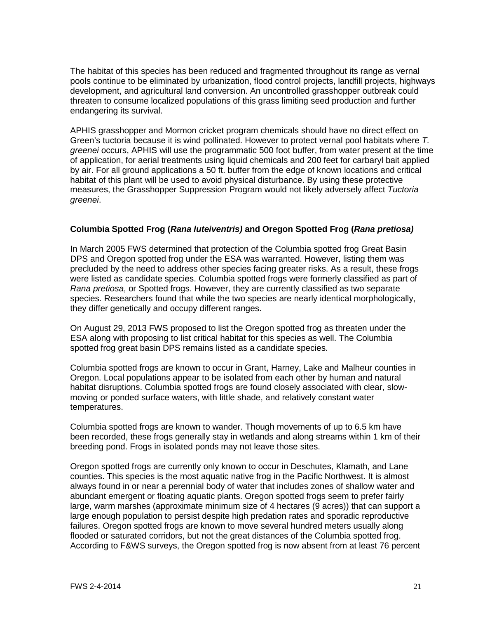The habitat of this species has been reduced and fragmented throughout its range as vernal pools continue to be eliminated by urbanization, flood control projects, landfill projects, highways development, and agricultural land conversion. An uncontrolled grasshopper outbreak could threaten to consume localized populations of this grass limiting seed production and further endangering its survival.

APHIS grasshopper and Mormon cricket program chemicals should have no direct effect on Green's tuctoria because it is wind pollinated. However to protect vernal pool habitats where *T. greenei* occurs, APHIS will use the programmatic 500 foot buffer, from water present at the time of application, for aerial treatments using liquid chemicals and 200 feet for carbaryl bait applied by air. For all ground applications a 50 ft. buffer from the edge of known locations and critical habitat of this plant will be used to avoid physical disturbance. By using these protective measures, the Grasshopper Suppression Program would not likely adversely affect *Tuctoria greenei*.

#### **Columbia Spotted Frog (***Rana luteiventris)* **and Oregon Spotted Frog (***Rana pretiosa)*

In March 2005 FWS determined that protection of the Columbia spotted frog Great Basin DPS and Oregon spotted frog under the ESA was warranted. However, listing them was precluded by the need to address other species facing greater risks. As a result, these frogs were listed as candidate species. Columbia spotted frogs were formerly classified as part of *Rana pretiosa*, or Spotted frogs. However, they are currently classified as two separate species. Researchers found that while the two species are nearly identical morphologically, they differ genetically and occupy different ranges.

On August 29, 2013 FWS proposed to list the Oregon spotted frog as threaten under the ESA along with proposing to list critical habitat for this species as well. The Columbia spotted frog great basin DPS remains listed as a candidate species.

Columbia spotted frogs are known to occur in Grant, Harney, Lake and Malheur counties in Oregon. Local populations appear to be isolated from each other by human and natural habitat disruptions. Columbia spotted frogs are found closely associated with clear, slowmoving or ponded surface waters, with little shade, and relatively constant water temperatures.

Columbia spotted frogs are known to wander. Though movements of up to 6.5 km have been recorded, these frogs generally stay in wetlands and along streams within 1 km of their breeding pond. Frogs in isolated ponds may not leave those sites.

Oregon spotted frogs are currently only known to occur in Deschutes, Klamath, and Lane counties. This species is the most aquatic native frog in the Pacific Northwest. It is almost always found in or near a perennial body of water that includes zones of shallow water and abundant emergent or floating aquatic plants. Oregon spotted frogs seem to prefer fairly large, warm marshes (approximate minimum size of 4 hectares (9 acres)) that can support a large enough population to persist despite high predation rates and sporadic reproductive failures. Oregon spotted frogs are known to move several hundred meters usually along flooded or saturated corridors, but not the great distances of the Columbia spotted frog. According to F&WS surveys, the Oregon spotted frog is now absent from at least 76 percent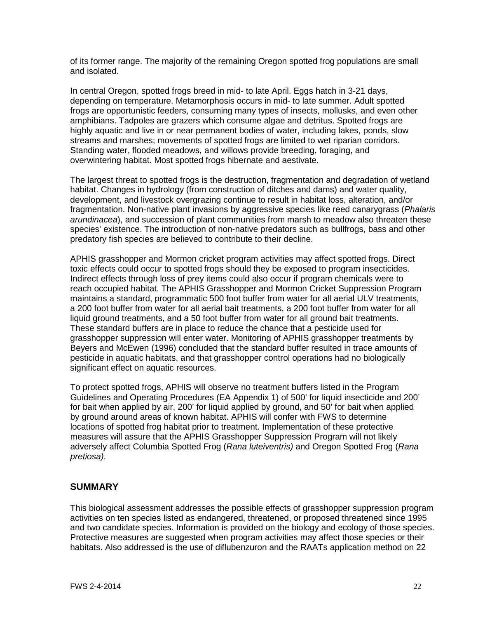of its former range. The majority of the remaining Oregon spotted frog populations are small and isolated.

In central Oregon, spotted frogs breed in mid- to late April. Eggs hatch in 3-21 days, depending on temperature. Metamorphosis occurs in mid- to late summer. Adult spotted frogs are opportunistic feeders, consuming many types of insects, mollusks, and even other amphibians. Tadpoles are grazers which consume algae and detritus. Spotted frogs are highly aquatic and live in or near permanent bodies of water, including lakes, ponds, slow streams and marshes; movements of spotted frogs are limited to wet riparian corridors. Standing water, flooded meadows, and willows provide breeding, foraging, and overwintering habitat. Most spotted frogs hibernate and aestivate.

The largest threat to spotted frogs is the destruction, fragmentation and degradation of wetland habitat. Changes in hydrology (from construction of ditches and dams) and water quality, development, and livestock overgrazing continue to result in habitat loss, alteration, and/or fragmentation. Non-native plant invasions by aggressive species like reed canarygrass (*Phalaris arundinacea*), and succession of plant communities from marsh to meadow also threaten these species' existence. The introduction of non-native predators such as bullfrogs, bass and other predatory fish species are believed to contribute to their decline.

APHIS grasshopper and Mormon cricket program activities may affect spotted frogs. Direct toxic effects could occur to spotted frogs should they be exposed to program insecticides. Indirect effects through loss of prey items could also occur if program chemicals were to reach occupied habitat. The APHIS Grasshopper and Mormon Cricket Suppression Program maintains a standard, programmatic 500 foot buffer from water for all aerial ULV treatments, a 200 foot buffer from water for all aerial bait treatments, a 200 foot buffer from water for all liquid ground treatments, and a 50 foot buffer from water for all ground bait treatments. These standard buffers are in place to reduce the chance that a pesticide used for grasshopper suppression will enter water. Monitoring of APHIS grasshopper treatments by Beyers and McEwen (1996) concluded that the standard buffer resulted in trace amounts of pesticide in aquatic habitats, and that grasshopper control operations had no biologically significant effect on aquatic resources.

To protect spotted frogs, APHIS will observe no treatment buffers listed in the Program Guidelines and Operating Procedures (EA Appendix 1) of 500' for liquid insecticide and 200' for bait when applied by air, 200' for liquid applied by ground, and 50' for bait when applied by ground around areas of known habitat. APHIS will confer with FWS to determine locations of spotted frog habitat prior to treatment. Implementation of these protective measures will assure that the APHIS Grasshopper Suppression Program will not likely adversely affect Columbia Spotted Frog (*Rana luteiventris)* and Oregon Spotted Frog (*Rana pretiosa)*.

#### **SUMMARY**

This biological assessment addresses the possible effects of grasshopper suppression program activities on ten species listed as endangered, threatened, or proposed threatened since 1995 and two candidate species. Information is provided on the biology and ecology of those species. Protective measures are suggested when program activities may affect those species or their habitats. Also addressed is the use of diflubenzuron and the RAATs application method on 22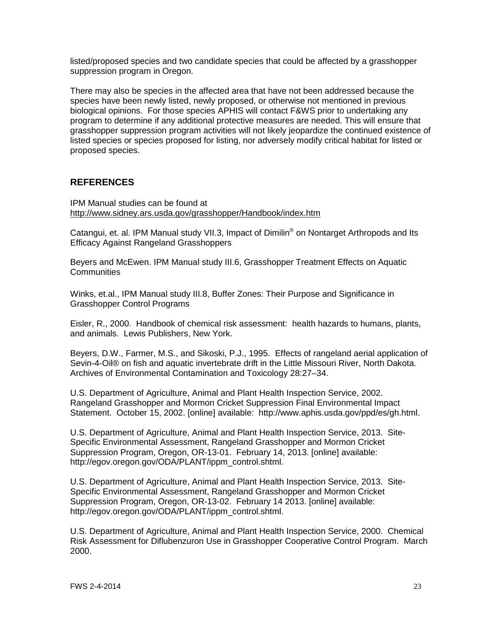listed/proposed species and two candidate species that could be affected by a grasshopper suppression program in Oregon.

There may also be species in the affected area that have not been addressed because the species have been newly listed, newly proposed, or otherwise not mentioned in previous biological opinions. For those species APHIS will contact F&WS prior to undertaking any program to determine if any additional protective measures are needed. This will ensure that grasshopper suppression program activities will not likely jeopardize the continued existence of listed species or species proposed for listing, nor adversely modify critical habitat for listed or proposed species.

#### **REFERENCES**

IPM Manual studies can be found at <http://www.sidney.ars.usda.gov/grasshopper/Handbook/index.htm>

Catangui, et. al. IPM Manual study VII.3, Impact of Dimilin<sup>®</sup> on Nontarget Arthropods and Its [Efficacy Against Rangeland Grasshoppers](http://www.sidney.ars.usda.gov/grasshopper/Handbook/VII/vii_3.htm)

Beyers and McEwen. IPM Manual study III.6, Grasshopper Treatment Effects on Aquatic **Communities** 

Winks, et.al., IPM Manual study III.8, Buffer Zones: Their Purpose and Significance in Grasshopper Control Programs

Eisler, R., 2000. Handbook of chemical risk assessment: health hazards to humans, plants, and animals. Lewis Publishers, New York.

Beyers, D.W., Farmer, M.S., and Sikoski, P.J., 1995. Effects of rangeland aerial application of Sevin-4-Oil® on fish and aquatic invertebrate drift in the Little Missouri River, North Dakota. Archives of Environmental Contamination and Toxicology 28:27–34.

U.S. Department of Agriculture, Animal and Plant Health Inspection Service, 2002. Rangeland Grasshopper and Mormon Cricket Suppression Final Environmental Impact Statement. October 15, 2002. [online] available: [http://www.aphis.usda.gov/ppd/es/gh.html.](http://www.aphis.usda.gov/mb/aseu/shes/shes-manual.html)

U.S. Department of Agriculture, Animal and Plant Health Inspection Service, 2013. Site-Specific Environmental Assessment, Rangeland Grasshopper and Mormon Cricket Suppression Program, Oregon, OR-13-01. February 14, 2013. [online] available: [http://egov.oregon.gov/ODA/PLANT/ippm\\_control.shtml.](http://egov.oregon.gov/ODA/PLANT/ippm_control.shtml)

U.S. Department of Agriculture, Animal and Plant Health Inspection Service, 2013. Site-Specific Environmental Assessment, Rangeland Grasshopper and Mormon Cricket Suppression Program, Oregon, OR-13-02. February 14 2013. [online] available: [http://egov.oregon.gov/ODA/PLANT/ippm\\_control.shtml.](http://egov.oregon.gov/ODA/PLANT/ippm_control.shtml)

U.S. Department of Agriculture, Animal and Plant Health Inspection Service, 2000. Chemical Risk Assessment for Diflubenzuron Use in Grasshopper Cooperative Control Program. March 2000.